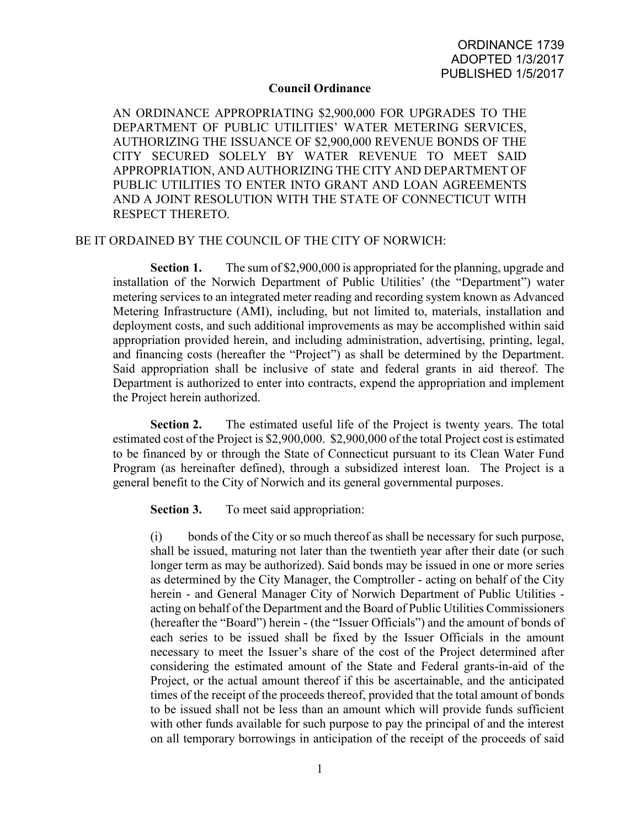## **Council Ordinance**

AN ORDINANCE APPROPRIATING \$2,900,000 FOR UPGRADES TO THE DEPARTMENT OF PUBLIC UTILITIES' WATER METERING SERVICES, AUTHORIZING THE ISSUANCE OF \$2,900,000 REVENUE BONDS OF THE CITY SECURED SOLELY BY WATER REVENUE TO MEET SAID APPROPRIATION, AND AUTHORIZING THE CITY AND DEPARTMENT OF PUBLIC UTILITIES TO ENTER INTO GRANT AND LOAN AGREEMENTS AND A JOINT RESOLUTION WITH THE STATE OF CONNECTICUT WITH RESPECT THERETO.

## BE IT ORDAINED BY THE COUNCIL OF THE CITY OF NORWICH:

**Section 1.** The sum of \$2,900,000 is appropriated for the planning, upgrade and installation of the Norwich Department of Public Utilities' (the "Department") water metering services to an integrated meter reading and recording system known as Advanced Metering Infrastructure (AMI), including, but not limited to, materials, installation and deployment costs, and such additional improvements as may be accomplished within said appropriation provided herein, and including administration, advertising, printing, legal, and financing costs (hereafter the "Project") as shall be determined by the Department. Said appropriation shall be inclusive of state and federal grants in aid thereof. The Department is authorized to enter into contracts, expend the appropriation and implement the Project herein authorized.

**Section 2.** The estimated useful life of the Project is twenty years. The total estimated cost of the Project is \$2,900,000. \$2,900,000 of the total Project cost is estimated to be financed by or through the State of Connecticut pursuant to its Clean Water Fund Program (as hereinafter defined), through a subsidized interest loan. The Project is a general benefit to the City of Norwich and its general governmental purposes.

**Section 3.** To meet said appropriation:

(i) bonds of the City or so much thereof as shall be necessary for such purpose, shall be issued, maturing not later than the twentieth year after their date (or such longer term as may be authorized). Said bonds may be issued in one or more series as determined by the City Manager, the Comptroller - acting on behalf of the City herein - and General Manager City of Norwich Department of Public Utilities acting on behalf of the Department and the Board of Public Utilities Commissioners (hereafter the "Board") herein - (the "Issuer Officials") and the amount of bonds of each series to be issued shall be fixed by the Issuer Officials in the amount necessary to meet the Issuer's share of the cost of the Project determined after considering the estimated amount of the State and Federal grants-in-aid of the Project, or the actual amount thereof if this be ascertainable, and the anticipated times of the receipt of the proceeds thereof, provided that the total amount of bonds to be issued shall not be less than an amount which will provide funds sufficient with other funds available for such purpose to pay the principal of and the interest on all temporary borrowings in anticipation of the receipt of the proceeds of said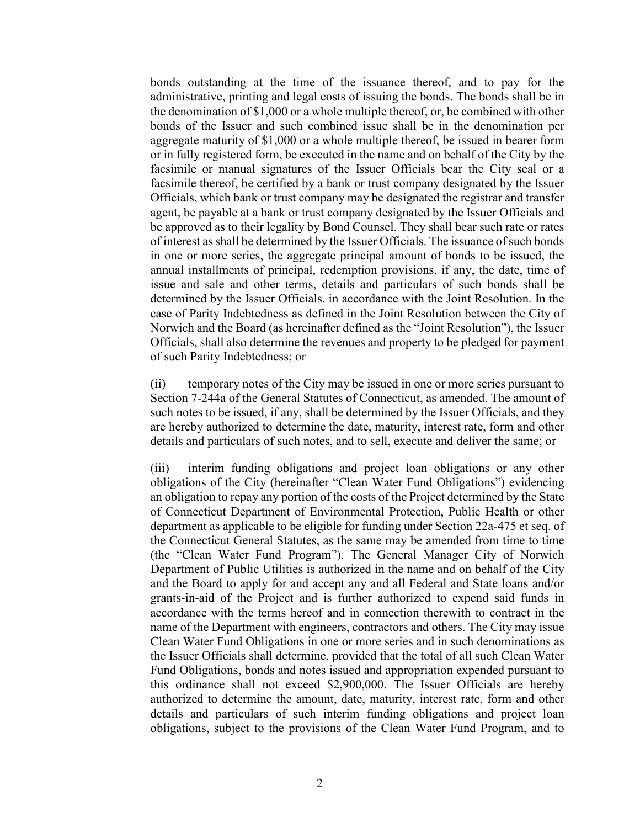bonds outstanding at the time of the issuance thereof, and to pay for the administrative, printing and legal costs of issuing the bonds. The bonds shall be in the denomination of \$1,000 or a whole multiple thereof, or, be combined with other bonds of the Issuer and such combined issue shall be in the denomination per aggregate maturity of \$1,000 or a whole multiple thereof, be issued in bearer form or in fully registered form, be executed in the name and on behalf of the City by the facsimile or manual signatures of the Issuer Officials bear the City seal or a facsimile thereof, be certified by a bank or trust company designated by the Issuer Officials, which bank or trust company may be designated the registrar and transfer agent, be payable at a bank or trust company designated by the Issuer Officials and be approved as to their legality by Bond Counsel. They shall bear such rate or rates of interest as shall be determined by the Issuer Officials. The issuance of such bonds in one or more series, the aggregate principal amount of bonds to be issued, the annual installments of principal, redemption provisions, if any, the date, time of issue and sale and other terms, details and particulars of such bonds shall be determined by the Issuer Officials, in accordance with the Joint Resolution. In the case of Parity Indebtedness as defined in the Joint Resolution between the City of Norwich and the Board (as hereinafter defined as the "Joint Resolution"), the Issuer Officials, shall also determine the revenues and property to be pledged for payment of such Parity Indebtedness; or

(ii) temporary notes of the City may be issued in one or more series pursuant to Section 7-244a of the General Statutes of Connecticut, as amended. The amount of such notes to be issued, if any, shall be determined by the Issuer Officials, and they are hereby authorized to determine the date, maturity, interest rate, form and other details and particulars of such notes, and to sell, execute and deliver the same; or

(iii) interim funding obligations and project loan obligations or any other obligations of the City (hereinafter "Clean Water Fund Obligations") evidencing an obligation to repay any portion of the costs of the Project determined by the State of Connecticut Department of Environmental Protection, Public Health or other department as applicable to be eligible for funding under Section 22a-475 et seq. of the Connecticut General Statutes, as the same may be amended from time to time (the "Clean Water Fund Program"). The General Manager City of Norwich Department of Public Utilities is authorized in the name and on behalf of the City and the Board to apply for and accept any and all Federal and State loans and/or grants-in-aid of the Project and is further authorized to expend said funds in accordance with the terms hereof and in connection therewith to contract in the name of the Department with engineers, contractors and others. The City may issue Clean Water Fund Obligations in one or more series and in such denominations as the Issuer Officials shall determine, provided that the total of all such Clean Water Fund Obligations, bonds and notes issued and appropriation expended pursuant to this ordinance shall not exceed \$2,900,000. The Issuer Officials are hereby authorized to determine the amount, date, maturity, interest rate, form and other details and particulars of such interim funding obligations and project loan obligations, subject to the provisions of the Clean Water Fund Program, and to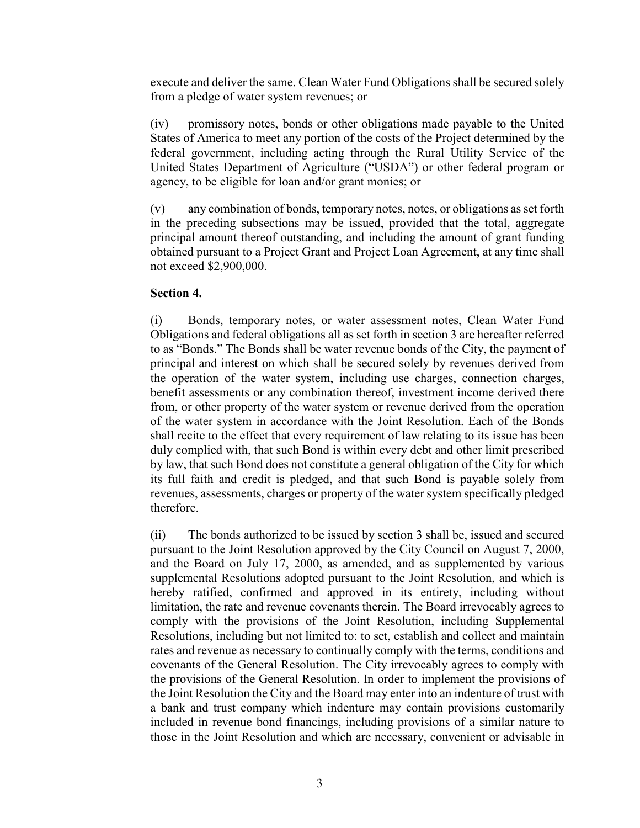execute and deliver the same. Clean Water Fund Obligations shall be secured solely from a pledge of water system revenues; or

(iv) promissory notes, bonds or other obligations made payable to the United States of America to meet any portion of the costs of the Project determined by the federal government, including acting through the Rural Utility Service of the United States Department of Agriculture ("USDA") or other federal program or agency, to be eligible for loan and/or grant monies; or

(v) any combination of bonds, temporary notes, notes, or obligations as set forth in the preceding subsections may be issued, provided that the total, aggregate principal amount thereof outstanding, and including the amount of grant funding obtained pursuant to a Project Grant and Project Loan Agreement, at any time shall not exceed \$2,900,000.

## **Section 4.**

(i) Bonds, temporary notes, or water assessment notes, Clean Water Fund Obligations and federal obligations all as set forth in section 3 are hereafter referred to as "Bonds." The Bonds shall be water revenue bonds of the City, the payment of principal and interest on which shall be secured solely by revenues derived from the operation of the water system, including use charges, connection charges, benefit assessments or any combination thereof, investment income derived there from, or other property of the water system or revenue derived from the operation of the water system in accordance with the Joint Resolution. Each of the Bonds shall recite to the effect that every requirement of law relating to its issue has been duly complied with, that such Bond is within every debt and other limit prescribed by law, that such Bond does not constitute a general obligation of the City for which its full faith and credit is pledged, and that such Bond is payable solely from revenues, assessments, charges or property of the water system specifically pledged therefore.

(ii) The bonds authorized to be issued by section 3 shall be, issued and secured pursuant to the Joint Resolution approved by the City Council on August 7, 2000, and the Board on July 17, 2000, as amended, and as supplemented by various supplemental Resolutions adopted pursuant to the Joint Resolution, and which is hereby ratified, confirmed and approved in its entirety, including without limitation, the rate and revenue covenants therein. The Board irrevocably agrees to comply with the provisions of the Joint Resolution, including Supplemental Resolutions, including but not limited to: to set, establish and collect and maintain rates and revenue as necessary to continually comply with the terms, conditions and covenants of the General Resolution. The City irrevocably agrees to comply with the provisions of the General Resolution. In order to implement the provisions of the Joint Resolution the City and the Board may enter into an indenture of trust with a bank and trust company which indenture may contain provisions customarily included in revenue bond financings, including provisions of a similar nature to those in the Joint Resolution and which are necessary, convenient or advisable in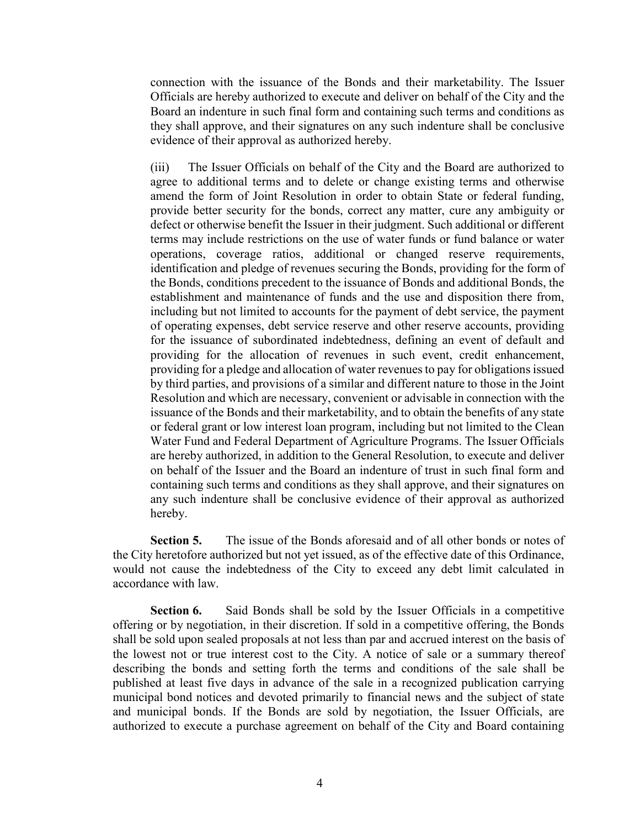connection with the issuance of the Bonds and their marketability. The Issuer Officials are hereby authorized to execute and deliver on behalf of the City and the Board an indenture in such final form and containing such terms and conditions as they shall approve, and their signatures on any such indenture shall be conclusive evidence of their approval as authorized hereby.

(iii) The Issuer Officials on behalf of the City and the Board are authorized to agree to additional terms and to delete or change existing terms and otherwise amend the form of Joint Resolution in order to obtain State or federal funding, provide better security for the bonds, correct any matter, cure any ambiguity or defect or otherwise benefit the Issuer in their judgment. Such additional or different terms may include restrictions on the use of water funds or fund balance or water operations, coverage ratios, additional or changed reserve requirements, identification and pledge of revenues securing the Bonds, providing for the form of the Bonds, conditions precedent to the issuance of Bonds and additional Bonds, the establishment and maintenance of funds and the use and disposition there from, including but not limited to accounts for the payment of debt service, the payment of operating expenses, debt service reserve and other reserve accounts, providing for the issuance of subordinated indebtedness, defining an event of default and providing for the allocation of revenues in such event, credit enhancement, providing for a pledge and allocation of water revenues to pay for obligations issued by third parties, and provisions of a similar and different nature to those in the Joint Resolution and which are necessary, convenient or advisable in connection with the issuance of the Bonds and their marketability, and to obtain the benefits of any state or federal grant or low interest loan program, including but not limited to the Clean Water Fund and Federal Department of Agriculture Programs. The Issuer Officials are hereby authorized, in addition to the General Resolution, to execute and deliver on behalf of the Issuer and the Board an indenture of trust in such final form and containing such terms and conditions as they shall approve, and their signatures on any such indenture shall be conclusive evidence of their approval as authorized hereby.

**Section 5.** The issue of the Bonds aforesaid and of all other bonds or notes of the City heretofore authorized but not yet issued, as of the effective date of this Ordinance, would not cause the indebtedness of the City to exceed any debt limit calculated in accordance with law.

**Section 6.** Said Bonds shall be sold by the Issuer Officials in a competitive offering or by negotiation, in their discretion. If sold in a competitive offering, the Bonds shall be sold upon sealed proposals at not less than par and accrued interest on the basis of the lowest not or true interest cost to the City. A notice of sale or a summary thereof describing the bonds and setting forth the terms and conditions of the sale shall be published at least five days in advance of the sale in a recognized publication carrying municipal bond notices and devoted primarily to financial news and the subject of state and municipal bonds. If the Bonds are sold by negotiation, the Issuer Officials, are authorized to execute a purchase agreement on behalf of the City and Board containing